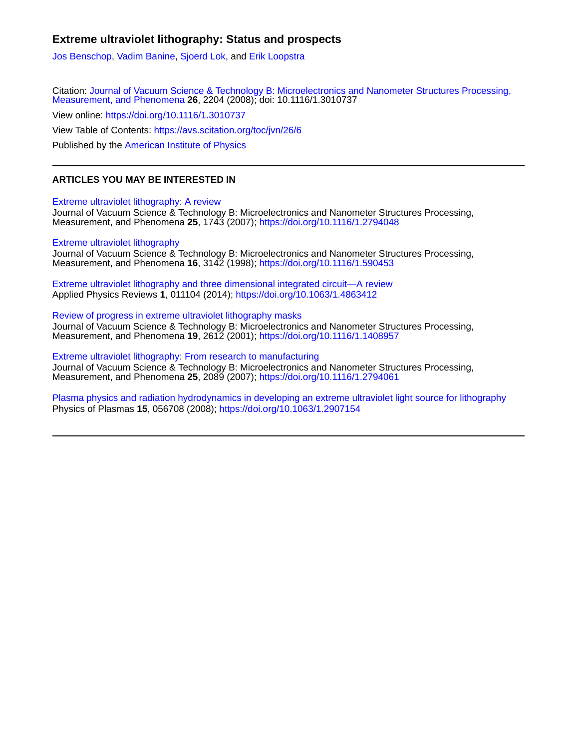## **Extreme ultraviolet lithography: Status and prospects**

[Jos Benschop](https://avs.scitation.org/author/Benschop%2C+Jos), [Vadim Banine](https://avs.scitation.org/author/Banine%2C+Vadim), [Sjoerd Lok,](https://avs.scitation.org/author/Lok%2C+Sjoerd) and [Erik Loopstra](https://avs.scitation.org/author/Loopstra%2C+Erik)

Citation: [Journal of Vacuum Science & Technology B: Microelectronics and Nanometer Structures Processing,](/loi/jvn) [Measurement, and Phenomena](/loi/jvn) **26**, 2204 (2008); doi: 10.1116/1.3010737

View online: <https://doi.org/10.1116/1.3010737>

View Table of Contents: <https://avs.scitation.org/toc/jvn/26/6>

Published by the [American Institute of Physics](https://avs.scitation.org/publisher/)

## **ARTICLES YOU MAY BE INTERESTED IN**

[Extreme ultraviolet lithography: A review](https://avs.scitation.org/doi/10.1116/1.2794048)

Journal of Vacuum Science & Technology B: Microelectronics and Nanometer Structures Processing, Measurement, and Phenomena **25**, 1743 (2007);<https://doi.org/10.1116/1.2794048>

### [Extreme ultraviolet lithography](https://avs.scitation.org/doi/10.1116/1.590453)

Journal of Vacuum Science & Technology B: Microelectronics and Nanometer Structures Processing, Measurement, and Phenomena **16**, 3142 (1998);<https://doi.org/10.1116/1.590453>

[Extreme ultraviolet lithography and three dimensional integrated circuit—A review](https://avs.scitation.org/doi/10.1063/1.4863412) Applied Physics Reviews **1**, 011104 (2014);<https://doi.org/10.1063/1.4863412>

[Review of progress in extreme ultraviolet lithography masks](https://avs.scitation.org/doi/10.1116/1.1408957) Journal of Vacuum Science & Technology B: Microelectronics and Nanometer Structures Processing, Measurement, and Phenomena **19**, 2612 (2001);<https://doi.org/10.1116/1.1408957>

[Extreme ultraviolet lithography: From research to manufacturing](https://avs.scitation.org/doi/10.1116/1.2794061) Journal of Vacuum Science & Technology B: Microelectronics and Nanometer Structures Processing, Measurement, and Phenomena **25**, 2089 (2007);<https://doi.org/10.1116/1.2794061>

[Plasma physics and radiation hydrodynamics in developing an extreme ultraviolet light source for lithography](https://avs.scitation.org/doi/10.1063/1.2907154) Physics of Plasmas **15**, 056708 (2008);<https://doi.org/10.1063/1.2907154>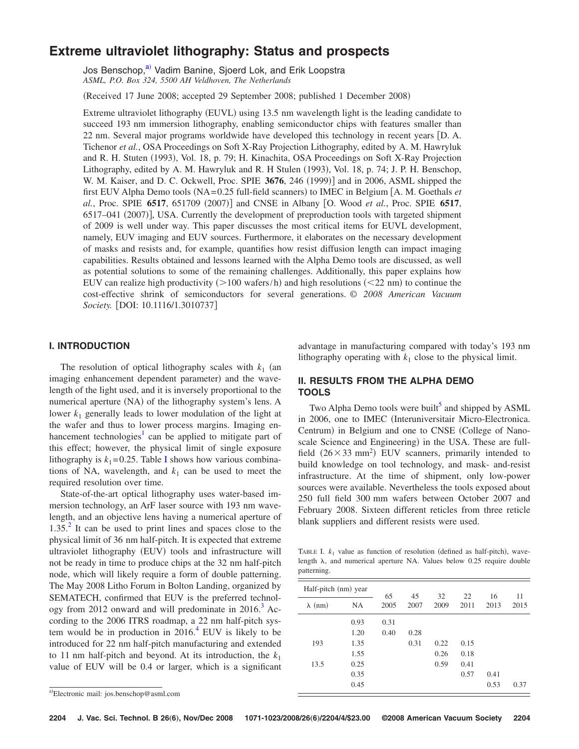# **Extreme ultraviolet lithography: Status and prospects**

Jos Benschop,<sup>a)</sup> Vadim Banine, Sjoerd Lok, and Erik Loopstra *ASML, P.O. Box 324, 5500 AH Veldhoven, The Netherlands*

Received 17 June 2008; accepted 29 September 2008; published 1 December 2008-

Extreme ultraviolet lithography (EUVL) using 13.5 nm wavelength light is the leading candidate to succeed 193 nm immersion lithography, enabling semiconductor chips with features smaller than 22 nm. Several major programs worldwide have developed this technology in recent years D. A. Tichenor *et al.*, OSA Proceedings on Soft X-Ray Projection Lithography, edited by A. M. Hawryluk and R. H. Stuten (1993), Vol. 18, p. 79; H. Kinachita, OSA Proceedings on Soft X-Ray Projection Lithography, edited by A. M. Hawryluk and R. H Stulen (1993), Vol. 18, p. 74; J. P. H. Benschop, W. M. Kaiser, and D. C. Ockwell, Proc. SPIE 3676, 246 (1999)] and in 2006, ASML shipped the first EUV Alpha Demo tools (NA=0.25 full-field scanners) to IMEC in Belgium [A. M. Goethals *et* al., Proc. SPIE 6517, 651709 (2007)] and CNSE in Albany [O. Wood *et al.*, Proc. SPIE 6517, 6517-041 (2007)], USA. Currently the development of preproduction tools with targeted shipment of 2009 is well under way. This paper discusses the most critical items for EUVL development, namely, EUV imaging and EUV sources. Furthermore, it elaborates on the necessary development of masks and resists and, for example, quantifies how resist diffusion length can impact imaging capabilities. Results obtained and lessons learned with the Alpha Demo tools are discussed, as well as potential solutions to some of the remaining challenges. Additionally, this paper explains how EUV can realize high productivity  $(>100 \text{ wafers/h})$  and high resolutions  $(<22 \text{ nm})$  to continue the cost-effective shrink of semiconductors for several generations. *© 2008 American Vacuum Society.* [DOI: 10.1116/1.3010737]

## **I. INTRODUCTION**

The resolution of optical lithography scales with  $k_1$  (an imaging enhancement dependent parameter) and the wavelength of the light used, and it is inversely proportional to the numerical aperture (NA) of the lithography system's lens. A lower *k*<sup>1</sup> generally leads to lower modulation of the light at the wafer and thus to lower process margins. Imaging enhancement technologies<sup>1</sup> can be applied to mitigate part of this effect; however, the physical limit of single exposure lithography is  $k_1 = 0.25$ . Table [I](#page-1-1) shows how various combinations of NA, wavelength, and  $k_1$  can be used to meet the required resolution over time.

State-of-the-art optical lithography uses water-based immersion technology, an ArF laser source with 193 nm wavelength, and an objective lens having a numerical aperture of  $1.35<sup>2</sup>$  It can be used to print lines and spaces close to the physical limit of 36 nm half-pitch. It is expected that extreme ultraviolet lithography (EUV) tools and infrastructure will not be ready in time to produce chips at the 32 nm half-pitch node, which will likely require a form of double patterning. The May 2008 Litho Forum in Bolton Landing, organized by SEMATECH, confirmed that EUV is the preferred technology from 2012 onward and will predominate in  $2016$ .<sup>3</sup> According to the 2006 ITRS roadmap, a 22 nm half-pitch system would be in production in  $2016<sup>4</sup>$  EUV is likely to be introduced for 22 nm half-pitch manufacturing and extended to 11 nm half-pitch and beyond. At its introduction, the  $k_1$ value of EUV will be 0.4 or larger, which is a significant

advantage in manufacturing compared with today's 193 nm lithography operating with  $k_1$  close to the physical limit.

## **II. RESULTS FROM THE ALPHA DEMO TOOLS**

Two Alpha Demo tools were built<sup>5</sup> and shipped by ASML in 2006, one to IMEC (Interuniversitair Micro-Electronica. Centrum) in Belgium and one to CNSE (College of Nanoscale Science and Engineering) in the USA. These are fullfield  $(26 \times 33 \text{ mm}^2)$  EUV scanners, primarily intended to build knowledge on tool technology, and mask- and-resist infrastructure. At the time of shipment, only low-power sources were available. Nevertheless the tools exposed about 250 full field 300 mm wafers between October 2007 and February 2008. Sixteen different reticles from three reticle blank suppliers and different resists were used.

<span id="page-1-1"></span>TABLE I.  $k_1$  value as function of resolution (defined as half-pitch), wavelength  $\lambda$ , and numerical aperture NA. Values below 0.25 require double patterning.

| Half-pitch (nm) year |      | 65   | 45   | 32   | 22   | 16   | 11   |
|----------------------|------|------|------|------|------|------|------|
| $\lambda$ (nm)       | NA   | 2005 | 2007 | 2009 | 2011 | 2013 | 2015 |
|                      | 0.93 | 0.31 |      |      |      |      |      |
|                      | 1.20 | 0.40 | 0.28 |      |      |      |      |
| 193                  | 1.35 |      | 0.31 | 0.22 | 0.15 |      |      |
|                      | 1.55 |      |      | 0.26 | 0.18 |      |      |
| 13.5                 | 0.25 |      |      | 0.59 | 0.41 |      |      |
|                      | 0.35 |      |      |      | 0.57 | 0.41 |      |
|                      | 0.45 |      |      |      |      | 0.53 | 0.37 |

<span id="page-1-0"></span>a)Electronic mail: jos.benschop@asml.com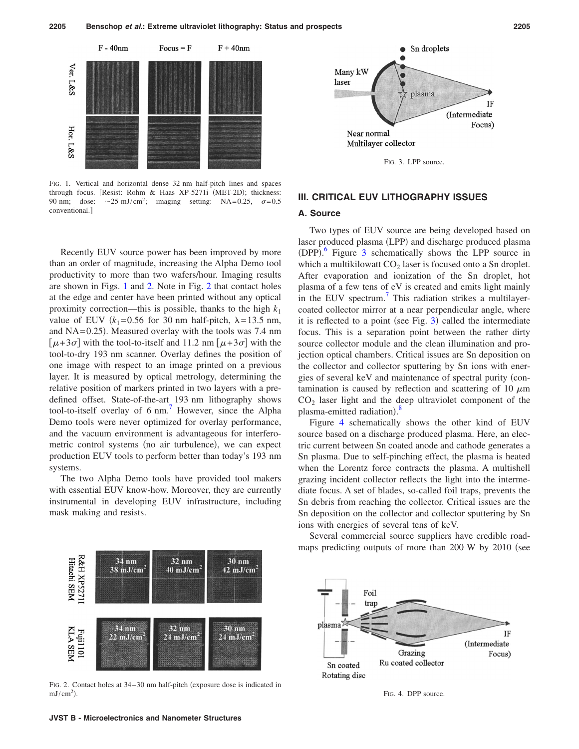<span id="page-2-0"></span>

FIG. 1. Vertical and horizontal dense 32 nm half-pitch lines and spaces through focus. [Resist: Rohm & Haas XP-5271i (MET-2D); thickness: 90 nm; dose:  $\sim$ 25 mJ/cm<sup>2</sup>; imaging setting: NA=0.25,  $\sigma$ =0.5 conventional.

Recently EUV source power has been improved by more than an order of magnitude, increasing the Alpha Demo tool productivity to more than two wafers/hour. Imaging results are shown in Figs. [1](#page-2-0) and [2.](#page-2-1) Note in Fig. [2](#page-2-1) that contact holes at the edge and center have been printed without any optical proximity correction—this is possible, thanks to the high  $k_1$ value of EUV  $(k_1=0.56$  for 30 nm half-pitch,  $\lambda = 13.5$  nm, and  $NA = 0.25$ ). Measured overlay with the tools was 7.4 nm  $[\mu + 3\sigma]$  with the tool-to-itself and 11.2 nm  $[\mu + 3\sigma]$  with the tool-to-dry 193 nm scanner. Overlay defines the position of one image with respect to an image printed on a previous layer. It is measured by optical metrology, determining the relative position of markers printed in two layers with a predefined offset. State-of-the-art 193 nm lithography shows tool-to-itself overlay of  $6 \text{ nm}$ .<sup>7</sup> However, since the Alpha Demo tools were never optimized for overlay performance, and the vacuum environment is advantageous for interferometric control systems (no air turbulence), we can expect production EUV tools to perform better than today's 193 nm systems.

The two Alpha Demo tools have provided tool makers with essential EUV know-how. Moreover, they are currently instrumental in developing EUV infrastructure, including mask making and resists.

<span id="page-2-2"></span>

FIG. 3. LPP source.

### **III. CRITICAL EUV LITHOGRAPHY ISSUES**

#### **A. Source**

Two types of EUV source are being developed based on laser produced plasma (LPP) and discharge produced plasma (DPP).<sup>[6](#page-4-6)</sup> Figure [3](#page-2-2) schematically shows the LPP source in which a multikilowatt  $CO<sub>2</sub>$  laser is focused onto a Sn droplet. After evaporation and ionization of the Sn droplet, hot plasma of a few tens of eV is created and emits light mainly in the EUV spectrum.<sup>7</sup> This radiation strikes a multilayercoated collector mirror at a near perpendicular angle, where it is reflected to a point (see Fig. [3](#page-2-2)) called the intermediate focus. This is a separation point between the rather dirty source collector module and the clean illumination and projection optical chambers. Critical issues are Sn deposition on the collector and collector sputtering by Sn ions with energies of several keV and maintenance of spectral purity (contamination is caused by reflection and scattering of 10  $\mu$ m  $CO<sub>2</sub>$  laser light and the deep ultraviolet component of the plasma-emitted radiation).<sup>[8](#page-4-7)</sup>

Figure [4](#page-2-3) schematically shows the other kind of EUV source based on a discharge produced plasma. Here, an electric current between Sn coated anode and cathode generates a Sn plasma. Due to self-pinching effect, the plasma is heated when the Lorentz force contracts the plasma. A multishell grazing incident collector reflects the light into the intermediate focus. A set of blades, so-called foil traps, prevents the Sn debris from reaching the collector. Critical issues are the Sn deposition on the collector and collector sputtering by Sn ions with energies of several tens of keV.

<span id="page-2-1"></span>

FIG. 2. Contact holes at 34-30 nm half-pitch (exposure dose is indicated in  $mJ/cm<sup>2</sup>$ ).

Several commercial source suppliers have credible roadmaps predicting outputs of more than  $200 \text{ W}$  by  $2010$  (see

<span id="page-2-3"></span>

FIG. 4. DPP source.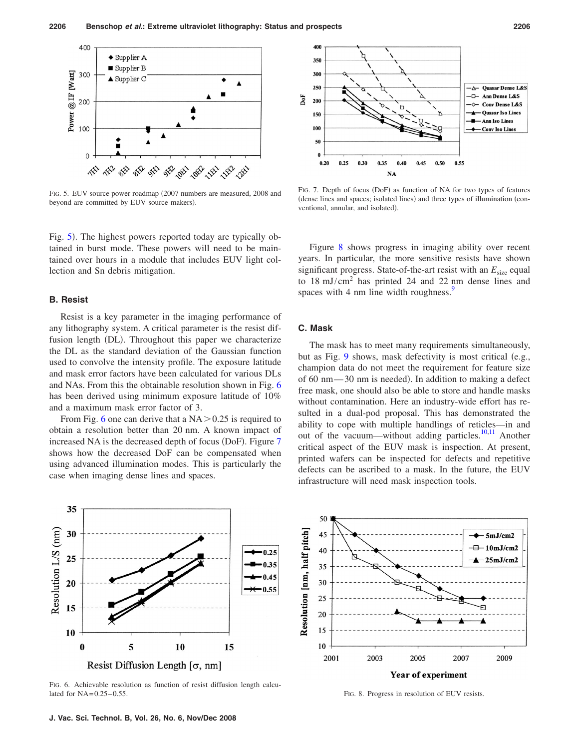<span id="page-3-0"></span>

FIG. 5. EUV source power roadmap (2007 numbers are measured, 2008 and beyond are committed by EUV source makers).

Fig. [5](#page-3-0)). The highest powers reported today are typically obtained in burst mode. These powers will need to be maintained over hours in a module that includes EUV light collection and Sn debris mitigation.

#### **B. Resist**

Resist is a key parameter in the imaging performance of any lithography system. A critical parameter is the resist diffusion length (DL). Throughout this paper we characterize the DL as the standard deviation of the Gaussian function used to convolve the intensity profile. The exposure latitude and mask error factors have been calculated for various DLs and NAs. From this the obtainable resolution shown in Fig. [6](#page-3-1) has been derived using minimum exposure latitude of 10% and a maximum mask error factor of 3.

From Fig. [6](#page-3-1) one can derive that a  $NA > 0.25$  is required to obtain a resolution better than 20 nm. A known impact of increased NA is the decreased depth of focus (DoF). Figure [7](#page-3-2) shows how the decreased DoF can be compensated when using advanced illumination modes. This is particularly the case when imaging dense lines and spaces.

<span id="page-3-1"></span>

FIG. 6. Achievable resolution as function of resist diffusion length calculated for  $NA = 0.25 - 0.55$ .

<span id="page-3-2"></span>

FIG. 7. Depth of focus (DoF) as function of NA for two types of features (dense lines and spaces; isolated lines) and three types of illumination (conventional, annular, and isolated).

Figure [8](#page-3-3) shows progress in imaging ability over recent years. In particular, the more sensitive resists have shown significant progress. State-of-the-art resist with an  $E_{size}$  equal to 18 mJ/cm<sup>2</sup> has printed 24 and 22 nm dense lines and spaces with 4 nm line width roughness.<sup>9</sup>

### **C. Mask**

The mask has to meet many requirements simultaneously, but as Fig. [9](#page-4-9) shows, mask defectivity is most critical  $(e.g.,)$ champion data do not meet the requirement for feature size of 60 nm-30 nm is needed). In addition to making a defect free mask, one should also be able to store and handle masks without contamination. Here an industry-wide effort has resulted in a dual-pod proposal. This has demonstrated the ability to cope with multiple handlings of reticles—in and out of the vacuum—without adding particles.<sup>10[,11](#page-4-11)</sup> Another critical aspect of the EUV mask is inspection. At present, printed wafers can be inspected for defects and repetitive defects can be ascribed to a mask. In the future, the EUV infrastructure will need mask inspection tools.

<span id="page-3-3"></span>

FIG. 8. Progress in resolution of EUV resists.